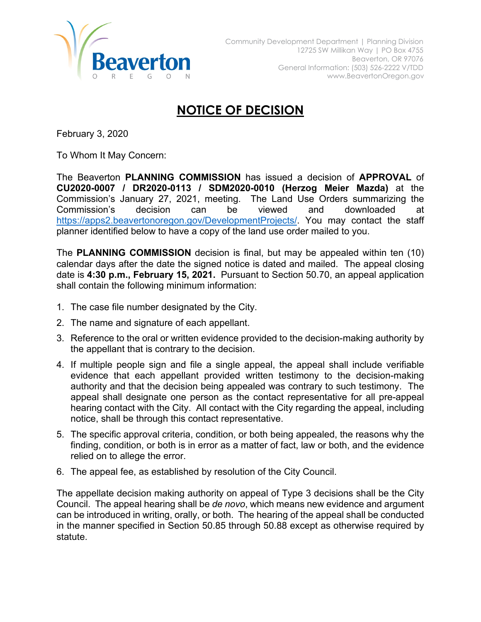

## **NOTICE OF DECISION**

February 3, 2020

To Whom It May Concern:

The Beaverton **PLANNING COMMISSION** has issued a decision of **APPROVAL** of **CU2020-0007 / DR2020-0113 / SDM2020-0010 (Herzog Meier Mazda)** at the Commission's January 27, 2021, meeting. The Land Use Orders summarizing the Commission's decision can be viewed and downloaded at [https://apps2.beavertonoregon.gov/DevelopmentProjects/.](https://apps2.beavertonoregon.gov/DevelopmentProjects/) You may contact the staff planner identified below to have a copy of the land use order mailed to you.

The **PLANNING COMMISSION** decision is final, but may be appealed within ten (10) calendar days after the date the signed notice is dated and mailed. The appeal closing date is **4:30 p.m., February 15, 2021.** Pursuant to Section 50.70, an appeal application shall contain the following minimum information:

- 1. The case file number designated by the City.
- 2. The name and signature of each appellant.
- 3. Reference to the oral or written evidence provided to the decision-making authority by the appellant that is contrary to the decision.
- 4. If multiple people sign and file a single appeal, the appeal shall include verifiable evidence that each appellant provided written testimony to the decision-making authority and that the decision being appealed was contrary to such testimony. The appeal shall designate one person as the contact representative for all pre-appeal hearing contact with the City. All contact with the City regarding the appeal, including notice, shall be through this contact representative.
- 5. The specific approval criteria, condition, or both being appealed, the reasons why the finding, condition, or both is in error as a matter of fact, law or both, and the evidence relied on to allege the error.
- 6. The appeal fee, as established by resolution of the City Council.

The appellate decision making authority on appeal of Type 3 decisions shall be the City Council. The appeal hearing shall be *de novo*, which means new evidence and argument can be introduced in writing, orally, or both. The hearing of the appeal shall be conducted in the manner specified in Section 50.85 through 50.88 except as otherwise required by statute.